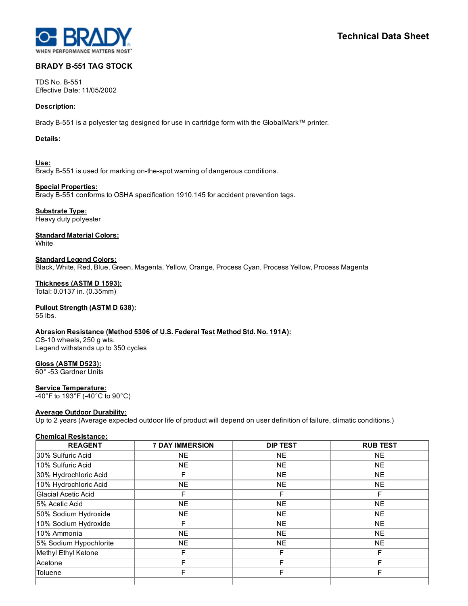

# BRADY B-551 TAG STOCK

TDS No. B-551 Effective Date: 11/05/2002

### Description:

Brady B551 is a polyester tag designed for use in cartridge form with the GlobalMark™ printer.

### Details:

Use: Brady B-551 is used for marking on-the-spot warning of dangerous conditions.

Special Properties: Brady B-551 conforms to OSHA specification 1910.145 for accident prevention tags.

Substrate Type: Heavy duty polyester

**Standard Material Colors: White** 

Standard Legend Colors: Black, White, Red, Blue, Green, Magenta, Yellow, Orange, Process Cyan, Process Yellow, Process Magenta

Thickness (ASTM D 1593): Total: 0.0137 in. (0.35mm)

## Pullout Strength (ASTM D 638):

55 lbs.

Abrasion Resistance (Method 5306 of U.S. Federal Test Method Std. No. 191A): CS-10 wheels, 250 g wts. Legend withstands up to 350 cycles

Gloss (ASTM D523):

60° 53 Gardner Units

Service Temperature:

40°F to 193°F (40°C to 90°C)

### Average Outdoor Durability:

Up to 2 years (Average expected outdoor life of product will depend on user definition of failure, climatic conditions.)

### Chemical Resistance:

| <b>REAGENT</b>         | <b>7 DAY IMMERSION</b> | <b>DIP TEST</b> | <b>RUB TEST</b> |
|------------------------|------------------------|-----------------|-----------------|
| 30% Sulfuric Acid      | <b>NE</b>              | <b>NE</b>       | <b>NE</b>       |
| 10% Sulfuric Acid      | <b>NE</b>              | <b>NE</b>       | <b>NE</b>       |
| 30% Hydrochloric Acid  | F                      | <b>NE</b>       | <b>NE</b>       |
| 10% Hydrochloric Acid  | <b>NE</b>              | <b>NE</b>       | <b>NE</b>       |
| Glacial Acetic Acid    | F                      | F               | F               |
| 5% Acetic Acid         | <b>NE</b>              | <b>NE</b>       | <b>NE</b>       |
| 50% Sodium Hydroxide   | <b>NE</b>              | <b>NE</b>       | <b>NE</b>       |
| 10% Sodium Hydroxide   | F                      | <b>NE</b>       | <b>NE</b>       |
| 10% Ammonia            | <b>NE</b>              | <b>NE</b>       | <b>NE</b>       |
| 5% Sodium Hypochlorite | <b>NE</b>              | <b>NE</b>       | <b>NE</b>       |
| Methyl Ethyl Ketone    | F                      | F               | F               |
| Acetone                |                        | F               | F               |
| <b>Toluene</b>         | F                      | F               | F               |
|                        |                        |                 |                 |